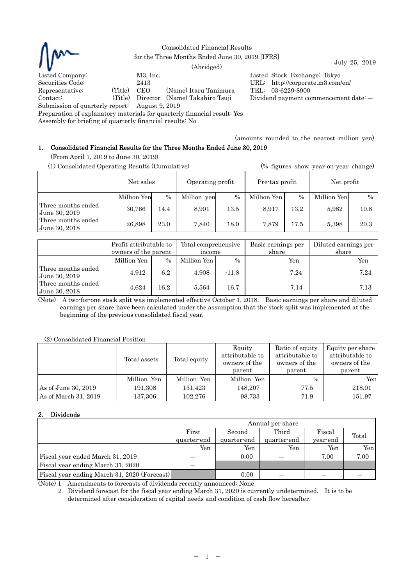

Consolidated Financial Results % for the Three Months Ended June 30, 2019 [IFRS] July 25, 2019 (Abridged)

Listed Company: M3, Inc. M3, Inc. Listed Stock Exchange: Tokyo Securities Code: 2413 URL: http://corporate.m3.com/  $URL:$  http://corporate.m3.com/en/ Representative: (Title) CEO (Name) Itaru Tanimura TEL: 03-6229-8900 Contact: (Title) Director (Name) Takahiro Tsuji Dividend payment commencement date: ―

Submission of quarterly report: August 9, 2019

Preparation of explanatory materials for quarterly financial result: Yes

Assembly for briefing of quarterly financial results: No

(amounts rounded to the nearest million yen)

# 1. Consolidated Financial Results for the Three Months Ended June 30, 2019

(From April 1, 2019 to June 30, 2019)

| (1) Consolidated Operating Results (Cumulative) |             |      |                  |      |                |      | (% figures show year-on-year change) |               |
|-------------------------------------------------|-------------|------|------------------|------|----------------|------|--------------------------------------|---------------|
|                                                 | Net sales   |      | Operating profit |      | Pre-tax profit |      | Net profit                           |               |
|                                                 | Million Yen | $\%$ | Million yen      | $\%$ | Million Yen    | $\%$ | Million Yen                          | $\frac{0}{0}$ |
| Three months ended<br>  June 30, 2019           | 30,766      | 14.4 | 8,901            | 13.5 | 8,917          | 13.2 | 5,982                                | 10.8          |
| Three months ended<br>June 30, 2018             | 26,898      | 23.0 | 7,840            | 18.0 | 7.879          | 17.5 | 5,398                                | 20.3          |

|                                     | Profit attributable to<br>owners of the parent |      | Total comprehensive<br>income |         | Basic earnings per<br>share | Diluted earnings per<br>share |  |
|-------------------------------------|------------------------------------------------|------|-------------------------------|---------|-----------------------------|-------------------------------|--|
|                                     | Million Yen                                    | $\%$ | Million Yen                   | $\%$    | Yen                         | Yen                           |  |
| Three months ended<br>June 30, 2019 | 4,912                                          | 6.2  | 4,908                         | $-11.8$ | 7.24                        | 7.24                          |  |
| Three months ended<br>June 30, 2018 | 4,624                                          | 16.2 | 5,564                         | 16.7    | 7.14                        | 7.13                          |  |

(Note) A two-for-one stock split was implemented effective October 1, 2018. Basic earnings per share and diluted earnings per share have been calculated under the assumption that the stock split was implemented at the beginning of the previous consolidated fiscal year.

(2) Consolidated Financial Position

|                      | Total assets | Total equity | Equity<br>attributable to<br>owners of the<br>parent | Ratio of equity<br>attributable to<br>owners of the<br>parent | Equity per share<br>attributable to<br>owners of the<br>parent |
|----------------------|--------------|--------------|------------------------------------------------------|---------------------------------------------------------------|----------------------------------------------------------------|
|                      | Million Yen  | Million Yen  | Million Yen                                          | $\frac{0}{0}$                                                 | Yen                                                            |
| As of June 30, 2019  | 191,308      | 151,423      | 148.207                                              | 77.5                                                          | 218.01                                                         |
| As of March 31, 2019 | 137,306      | 102.276      | 98,733                                               | 71.9                                                          | 151.97                                                         |

### 2. Dividends

|                                              | Annual per share |                           |             |          |       |  |  |
|----------------------------------------------|------------------|---------------------------|-------------|----------|-------|--|--|
|                                              | First            | Third<br>Fiscal<br>Second |             |          |       |  |  |
|                                              | quarter-end      | quarter-end               | quarter-end | year-end | Total |  |  |
|                                              | Yen              | Yen                       | Yen         | Yen      | Yen   |  |  |
| Fiscal year ended March 31, 2019             |                  | 0.00                      |             | 7.00     | 7.00  |  |  |
| Fiscal year ending March 31, 2020            |                  |                           |             |          |       |  |  |
| Fiscal year ending March 31, 2020 (Forecast) |                  | 0.00                      |             |          |       |  |  |

(Note) 1 Amendments to forecasts of dividends recently announced: None

2 Dividend forecast for the fiscal year ending March 31, 2020 is currently undetermined. It is to be determined after consideration of capital needs and condition of cash flow hereafter.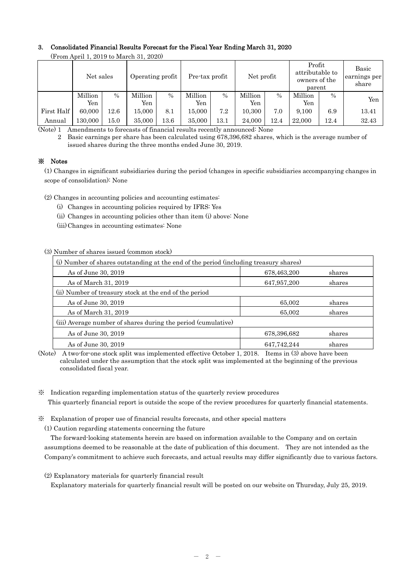## 3. Consolidated Financial Results Forecast for the Fiscal Year Ending March 31, 2020

|            | Net sales |          | Operating profit |               | Pre-tax profit |               | Net profit |               | Profit<br>attributable to<br>owners of the<br>parent |      | Basic<br>earnings per<br>share |
|------------|-----------|----------|------------------|---------------|----------------|---------------|------------|---------------|------------------------------------------------------|------|--------------------------------|
|            | Million   | $\%$     | Million          | $\frac{0}{0}$ | Million        | $\frac{0}{0}$ | Million    | $\frac{0}{0}$ | Million                                              | $\%$ | Yen                            |
|            | Yen       |          | Yen              |               | Yen            |               | Yen        |               | Yen                                                  |      |                                |
| First Half | 60,000    | 12.6     | 15.000           | 8.1           | 15.000         | 7.2           | 10.300     | 7.0           | 9,100                                                | 6.9  | 13.41                          |
| Annual     | 130.000   | $15.0\,$ | 35,000           | $^{13.6}\:$   | 35,000         | $13.1\,$      | 24,000     | 12.4          | 22,000                                               | 12.4 | 32.43                          |

(From April 1, 2019 to March 31, 2020)

(Note) 1 Amendments to forecasts of financial results recently announced: None

2 Basic earnings per share has been calculated using 678,396,682 shares, which is the average number of issued shares during the three months ended June 30, 2019.

## ※ Notes

(1) Changes in significant subsidiaries during the period (changes in specific subsidiaries accompanying changes in scope of consolidation): None

(2) Changes in accounting policies and accounting estimates:

- (i) Changes in accounting policies required by IFRS: Yes
- (ii) Changes in accounting policies other than item (i) above: None
- (iii) Changes in accounting estimates: None

### (3) Number of shares issued (common stock)

| (i) Number of shares outstanding at the end of the period (including treasury shares) |             |        |  |  |  |  |
|---------------------------------------------------------------------------------------|-------------|--------|--|--|--|--|
| As of June 30, 2019                                                                   | 678,463,200 | shares |  |  |  |  |
| As of March 31, 2019                                                                  | 647,957,200 | shares |  |  |  |  |
| (ii) Number of treasury stock at the end of the period                                |             |        |  |  |  |  |
| As of June 30, 2019                                                                   | 65,002      | shares |  |  |  |  |
| As of March 31, 2019                                                                  | 65,002      | shares |  |  |  |  |
| (iii) Average number of shares during the period (cumulative)                         |             |        |  |  |  |  |
| As of June 30, 2019                                                                   | 678,396,682 | shares |  |  |  |  |
| As of June 30, 2019                                                                   | 647,742,244 | shares |  |  |  |  |

(Note) A two-for-one stock split was implemented effective October 1, 2018. Items in (3) above have been calculated under the assumption that the stock split was implemented at the beginning of the previous consolidated fiscal year.

- ※ Indication regarding implementation status of the quarterly review procedures This quarterly financial report is outside the scope of the review procedures for quarterly financial statements.
- ※ Explanation of proper use of financial results forecasts, and other special matters

(1) Caution regarding statements concerning the future

The forward-looking statements herein are based on information available to the Company and on certain assumptions deemed to be reasonable at the date of publication of this document. They are not intended as the Company's commitment to achieve such forecasts, and actual results may differ significantly due to various factors.

(2) Explanatory materials for quarterly financial result

Explanatory materials for quarterly financial result will be posted on our website on Thursday, July 25, 2019.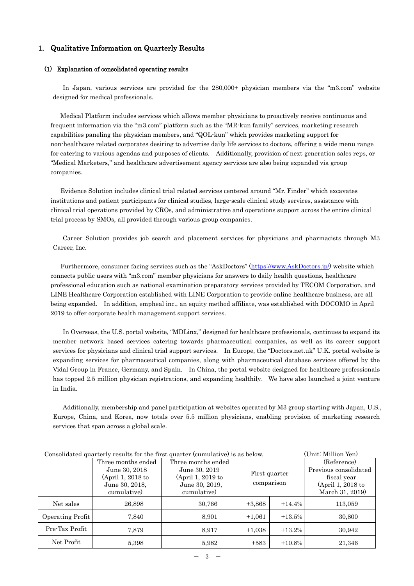### 1. Qualitative Information on Quarterly Results

#### (1) Explanation of consolidated operating results

In Japan, various services are provided for the 280,000+ physician members via the "m3.com" website designed for medical professionals.

Medical Platform includes services which allows member physicians to proactively receive continuous and frequent information via the "m3.com" platform such as the "MR-kun family" services, marketing research capabilities paneling the physician members, and "QOL-kun" which provides marketing support for non-healthcare related corporates desiring to advertise daily life services to doctors, offering a wide menu range for catering to various agendas and purposes of clients. Additionally, provision of next generation sales reps, or "Medical Marketers," and healthcare advertisement agency services are also being expanded via group companies.

Evidence Solution includes clinical trial related services centered around "Mr. Finder" which excavates institutions and patient participants for clinical studies, large-scale clinical study services, assistance with clinical trial operations provided by CROs, and administrative and operations support across the entire clinical trial process by SMOs, all provided through various group companies.

Career Solution provides job search and placement services for physicians and pharmacists through M3 Career, Inc.

Furthermore, consumer facing services such as the "AskDoctors" (https://www.AskDoctors.jp/) website which connects public users with "m3.com" member physicians for answers to daily health questions, healthcare professional education such as national examination preparatory services provided by TECOM Corporation, and LINE Healthcare Corporation established with LINE Corporation to provide online healthcare business, are all being expanded. In addition, empheal inc., an equity method affiliate, was established with DOCOMO in April 2019 to offer corporate health management support services.

In Overseas, the U.S. portal website, "MDLinx," designed for healthcare professionals, continues to expand its member network based services catering towards pharmaceutical companies, as well as its career support services for physicians and clinical trial support services. In Europe, the "Doctors.net.uk" U.K. portal website is expanding services for pharmaceutical companies, along with pharmaceutical database services offered by the Vidal Group in France, Germany, and Spain. In China, the portal website designed for healthcare professionals has topped 2.5 million physician registrations, and expanding healthily. We have also launched a joint venture in India.

Additionally, membership and panel participation at websites operated by M3 group starting with Japan, U.S., Europe, China, and Korea, now totals over 5.5 million physicians, enabling provision of marketing research services that span across a global scale.

|                  |                    | Consonadou gaarterry results for the mot gaarter (cumulation) to as below. |            |               | $\sim$ 1110 The Internal Temp |  |
|------------------|--------------------|----------------------------------------------------------------------------|------------|---------------|-------------------------------|--|
|                  | Three months ended | Three months ended                                                         |            |               | (Reference)                   |  |
|                  | June 30, 2018      | June 30, 2019                                                              |            | First quarter | Previous consolidated         |  |
|                  | (April 1, 2018 to  | (April 1, 2019 to                                                          |            |               | fiscal year                   |  |
|                  | June 30, 2018.     | June 30, 2019,                                                             | comparison |               | (April 1, 2018 to             |  |
|                  | cumulative)        | cumulative)                                                                |            |               | March 31, 2019)               |  |
| Net sales        | 26,898             | 30,766                                                                     | $+3,868$   | $+14.4%$      | 113,059                       |  |
| Operating Profit | 7,840              | 8,901                                                                      | $+1,061$   | $+13.5%$      | 30,800                        |  |
| Pre-Tax Profit   | 7,879              | 8.917                                                                      | $+1,038$   | $+13.2%$      | 30,942                        |  |
| Net Profit       | 5,398              | 5.982                                                                      | $+583$     | $+10.8%$      | 21,346                        |  |

# Consolidated quarterly results for the first quarter (cumulative) is as below. (Unit: Million Yen)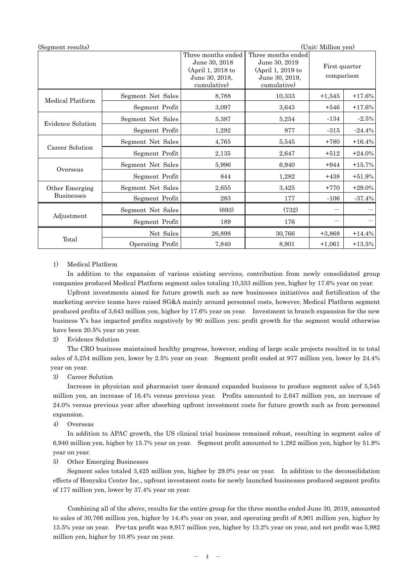| (Segment results) |                   |                                                                                           |                                                                                           | (Unit: Million yen)         |           |
|-------------------|-------------------|-------------------------------------------------------------------------------------------|-------------------------------------------------------------------------------------------|-----------------------------|-----------|
|                   |                   | Three months ended<br>June 30, 2018<br>(April 1, 2018 to<br>June 30, 2018,<br>cumulative) | Three months ended<br>June 30, 2019<br>(April 1, 2019 to<br>June 30, 2019,<br>cumulative) | First quarter<br>comparison |           |
| Medical Platform  | Segment Net Sales | 8,788                                                                                     | 10,333                                                                                    | $+1,545$                    | $+17.6%$  |
|                   | Segment Profit    | 3,097                                                                                     | 3,643                                                                                     | $+546$                      | $+17.6%$  |
|                   | Segment Net Sales | 5,387                                                                                     | 5,254                                                                                     | $-134$                      | $-2.5%$   |
| Evidence Solution | Segment Profit    | 1,292                                                                                     | 977                                                                                       | $-315$                      | $-24.4%$  |
|                   | Segment Net Sales | 4,765                                                                                     | 5,545                                                                                     | $+780$                      | $+16.4%$  |
| Career Solution   | Segment Profit    | 2,135                                                                                     | 2,647                                                                                     | $+512$                      | $+24.0%$  |
| Overseas          | Segment Net Sales | 5,996                                                                                     | 6,940                                                                                     | $+944$                      | $+15.7%$  |
|                   | Segment Profit    | 844                                                                                       | 1,282                                                                                     | $+438$                      | $+51.9%$  |
| Other Emerging    | Segment Net Sales | 2,655                                                                                     | 3,425                                                                                     | $+770$                      | $+29.0\%$ |
| <b>Businesses</b> | Segment Profit    | 283                                                                                       | 177                                                                                       | $-106$                      | $-37.4%$  |
| Adjustment        | Segment Net Sales | (693)                                                                                     | (732)                                                                                     |                             |           |
|                   | Segment Profit    | 189                                                                                       | 176                                                                                       |                             |           |
|                   | Net Sales         | 26,898                                                                                    | 30,766                                                                                    | $+3,868$                    | $+14.4%$  |
| Total             | Operating Profit  | 7,840                                                                                     | 8,901                                                                                     | $+1,061$                    | $+13.5\%$ |

### 1) Medical Platform

In addition to the expansion of various existing services, contribution from newly consolidated group companies produced Medical Platform segment sales totaling 10,333 million yen, higher by 17.6% year on year.

 Upfront investments aimed for future growth such as new businesses initiatives and fortification of the marketing service teams have raised SG&A mainly around personnel costs, however, Medical Platform segment produced profits of 3,643 million yen, higher by 17.6% year on year. Investment in branch expansion for the new business Y's has impacted profits negatively by 90 million yen; profit growth for the segment would otherwise have been 20.5% year on year.

### 2) Evidence Solution

The CRO business maintained healthy progress, however, ending of large scale projects resulted in to total sales of 5,254 million yen, lower by 2.5% year on year. Segment profit ended at 977 million yen, lower by 24.4% year on year.

### 3) Career Solution

Increase in physician and pharmacist user demand expanded business to produce segment sales of 5,545 million yen, an increase of 16.4% versus previous year. Profits amounted to 2,647 million yen, an increase of 24.0% versus previous year after absorbing upfront investment costs for future growth such as from personnel expansion.

4) Overseas

 In addition to APAC growth, the US clinical trial business remained robust, resulting in segment sales of 6,940 million yen, higher by 15.7% year on year. Segment profit amounted to 1,282 million yen, higher by 51.9% year on year.

### 5) Other Emerging Businesses

 Segment sales totaled 3,425 million yen, higher by 29.0% year on year. In addition to the deconsolidation effects of Honyaku Center Inc., upfront investment costs for newly launched businesses produced segment profits of 177 million yen, lower by 37.4% year on year.

Combining all of the above, results for the entire group for the three months ended June 30, 2019, amounted to sales of 30,766 million yen, higher by 14.4% year on year, and operating profit of 8,901 million yen, higher by 13.5% year on year. Pre-tax profit was 8,917 million yen, higher by 13.2% year on year, and net profit was 5,982 million yen, higher by 10.8% year on year.